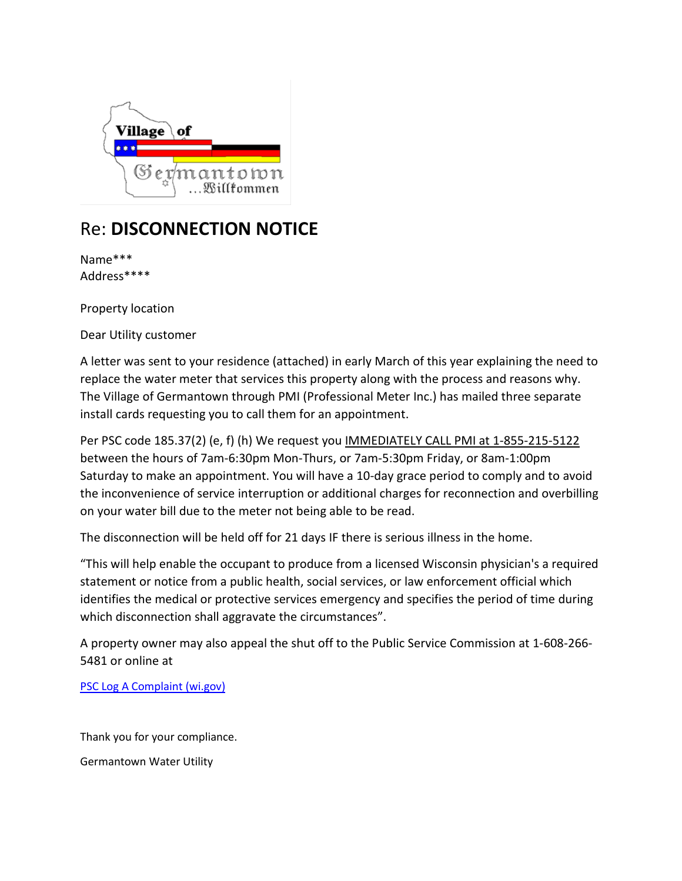

## Re: **DISCONNECTION NOTICE**

Name\*\*\* Address\*\*\*\*

Property location

Dear Utility customer

A letter was sent to your residence (attached) in early March of this year explaining the need to replace the water meter that services this property along with the process and reasons why. The Village of Germantown through PMI (Professional Meter Inc.) has mailed three separate install cards requesting you to call them for an appointment.

Per PSC code 185.37(2) (e, f) (h) We request you IMMEDIATELY CALL PMI at 1-855-215-5122 between the hours of 7am-6:30pm Mon-Thurs, or 7am-5:30pm Friday, or 8am-1:00pm Saturday to make an appointment. You will have a 10-day grace period to comply and to avoid the inconvenience of service interruption or additional charges for reconnection and overbilling on your water bill due to the meter not being able to be read.

The disconnection will be held off for 21 days IF there is serious illness in the home.

"This will help enable the occupant to produce from a licensed Wisconsin physician's a required statement or notice from a public health, social services, or law enforcement official which identifies the medical or protective services emergency and specifies the period of time during which disconnection shall aggravate the circumstances".

A property owner may also appeal the shut off to the Public Service Commission at 1-608-266- 5481 or online at

[PSC Log A Complaint \(wi.gov\)](https://psc.wi.gov/Pages/ForConsumers/LogAComplaint.aspx#:%7E:text=Online%3A%20File%20a%20complaint%20online%20Letter%3A%20A%20Consumer,of%20Wisconsin%20P.O.%20Box%207854%20Madison%2C%20WI%2053707-7854?msclkid=c1f3ce8acf9c11ec9076a555c21e3feb)

Thank you for your compliance.

Germantown Water Utility